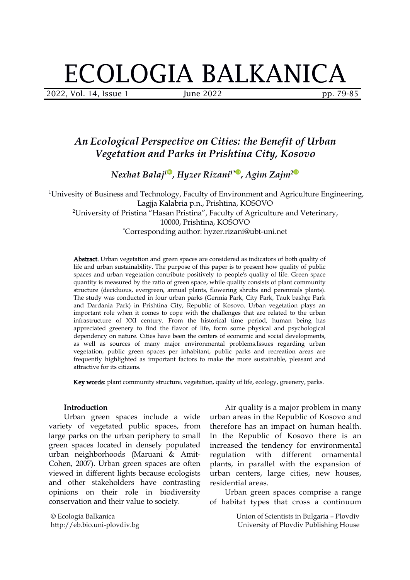# ECOLOGIA BALKANICA

2022, Vol. 14, Issue 1 June 2022 pp. 79-85

# *An Ecological Perspective on Cities: the Benefit of Urban Vegetation and Parks in Prishtina City, Kosovo*

*Nexhat Balaj 1 , Hyzer Rizani 1[\\*](https://orcid.org/0000-0002-2983-7897) , Agim Zajm[2](https://orcid.org/0000-0003-0044-2733)*

<sup>1</sup>Univesity of Business and Technology, Faculty of Environment and Agriculture Engineering, Lagjja Kalabria p.n., Prishtina, KOSOVO <sup>2</sup>University of Pristina "Hasan Pristina", Faculty of Agriculture and Veterinary, 10000, Prishtina, KOSOVO \*Corresponding author: hyzer.rizani@ubt-uni.net

Abstract. Urban vegetation and green spaces are considered as indicators of both quality of life and urban sustainability. The purpose of this paper is to present how quality of public spaces and urban vegetation contribute positively to people's quality of life. Green space quantity is measured by the ratio of green space, while quality consists of plant community structure (deciduous, evergreen, annual plants, flowering shrubs and perennials plants). The study was conducted in four urban parks (Germia Park, City Park, Tauk bashçe Park and Dardania Park) in Prishtina City, Republic of Kosovo. Urban vegetation plays an important role when it comes to cope with the challenges that are related to the urban infrastructure of XXI century. From the historical time period, human being has appreciated greenery to find the flavor of life, form some physical and psychological dependency on nature. Cities have been the centers of economic and social developments, as well as sources of many major environmental problems.Issues regarding urban vegetation, public green spaces per inhabitant, public parks and recreation areas are frequently highlighted as important factors to make the more sustainable, pleasant and attractive for its citizens.

Key words: plant community structure, vegetation, quality of life, ecology, greenery, parks.

#### Introduction

Urban green spaces include a wide variety of vegetated public spaces, from large parks on the urban periphery to small green spaces located in densely populated urban neighborhoods (Maruani & Amit- Cohen, 2007). Urban green spaces are often viewed in different lights because ecologists and other stakeholders have contrasting opinions on their role in biodiversity conservation and their value to society.

© Ecologia Balkanica http://eb.bio.uni-plovdiv.bg

Air quality is a major problem in many urban areas in the Republic of Kosovo and therefore has an impact on human health. In the Republic of Kosovo there is an increased the tendency for environmental regulation with different ornamental plants, in parallel with the expansion of urban centers, large cities, new houses, residential areas.

Urban green spaces comprise a range of habitat types that cross a continuum

> Union of Scientists in Bulgaria – Plovdiv University of Plovdiv Publishing House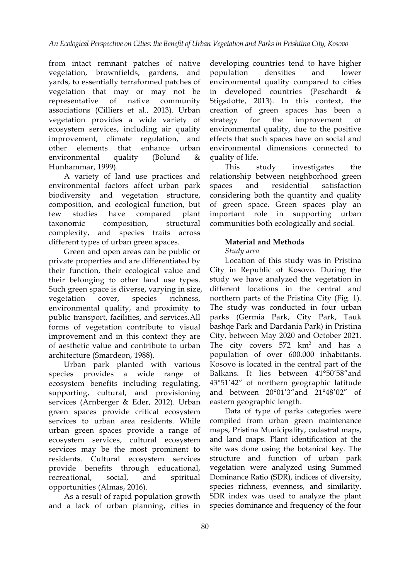from intact remnant patches of native vegetation, brownfields, gardens, and yards, to essentially terraformed patches of vegetation that may or may not be associations (Cilliers et al., 2013). Urban vegetation provides a wide variety of ecosystem services, including air quality improvement, climate regulation, and environmental quality (Bolund & quality of life. Hunhammar, 1999).

A variety of land use prac[tic](https://orcid.org/0000-0001-9166-8652)es and environmental factors affect urban park biodiversity and vegetation structure, composition, and ecological function, but taxonomic composition, structural complexity, and species traits across different types of urban green spaces.<br>Green and open areas can be public or

private properties and are differentiated by their function, their ecological value and their belonging to other land use types. Such green space is diverse, varying in size, vegetation cover, species richness, environmental quality, and proximity to public transport, facilities, and services.All forms of vegetation contribute to visual improvement and in this context they are of aesthetic value and contribute to urban architecture (Smardeon, 1988).

Urban park planted with various species provides a wide range of ecosystem benefits including regulating, supporting, cultural, and provisioning services (Arnberger & Eder, 2012). Urban green spaces provide critical ecosystem services to urban area residents. While urban green spaces provide a range of ecosystem services, cultural ecosystem services may be the most prominent to residents. Cultural ecosystem services provide benefits through educational, recreational, social, and spiritual opportunities (Almas, 2016).

As a result of rapid population growth and a lack of urban planning, cities in

representative of native community Stigsdotte, 2013). In this context, the other elements that enhance urban environmental-dimensions-connected-to developing countries tend to have higher population densities and lower environmental quality compared to cities in developed countries (Peschardt & creation of green spaces has been a the improvement of environmental quality, due to the positive effects that such spaces have on social and

few studies have compared plant important role in supporting urban This study investigates the relatio[nsh](https://orcid.org/0000-0002-2983-7897)ip between n[ei](https://orcid.org/0000-0003-0044-2733)ghborhood green satisfaction considering both the quantity and quality of green space. Green spaces play an communities both ecologically and social.

## **Material and Methods**

### *Study area*

Location of this study was in Pristina City in Republic of Kosovo. During the study we have analyzed the vegetation in different locations in the central and northern parts of the Pristina City (Fig.1). The study was conducted in four urban parks (Germia Park, City Park, Tauk bashqe Park and Dardania Park) in Pristina City, between May 2020 and October 2021. The city covers  $572 \text{ km}^2$  and has a population of over 600.000 inhabitants. Kosovo is located in the central part of the Balkans. It lies between 41°50'58"and 43°51'42" of northern geographic latitude and between 20°01'3"and 21°48'02" of eastern geographic length.

Data of type of parks categories were compiled from urban green maintenance maps, Pristina Municipality, cadastral maps, and land maps. Plant identification at the site was done using the botanical key. The structure and function of urban park vegetation were analyzed using Summed Dominance Ratio (SDR), indices of diversity, species richness, evenness, and similarity. SDR index was used to analyze the plant species dominance and frequency of the four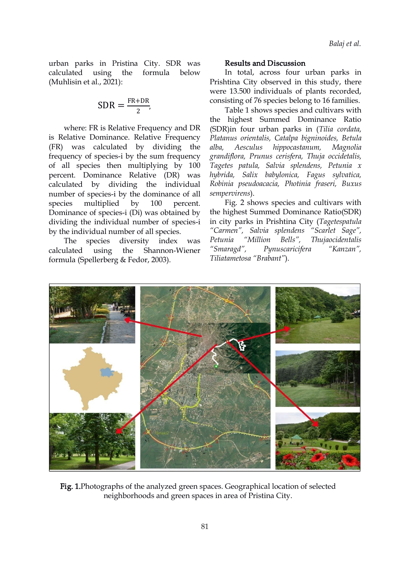*Balaj et al.*

urban parks in Pristina City. SDR was calculated using the formula below In total, across four urban parks in (Muhlisin et al., 2021):

$$
SDR = \frac{FR + DR}{2},
$$

where: FR is Relative Frequency and DR is Relative Dominance. Relative Frequency (FR) was calculated by dividing the alba, Aesculus frequency of species-i by the sum frequency of all species then multiplying by 100 percent. Dominance Relative ([D](https://orcid.org/0000-0001-9166-8652)R) was calculated by dividing the individual number of species-i by the dominance of all species multiplied by 100 percent. Dominance of species-i (Di) was obtained by dividing the individual number of species-i by the individual number of all species.

The species diversity index was Petunia "<br>ulated using the Shannon-Wiener "Smaragd", calculated using the Shannon-Wiener formula (Spellerberg & Fedor, 2003).

#### Results and Discussion

FR+DR consisting of 76 species belong to 16 families. Prishtina City observed in this study, there were 13.500 individuals of plants recorded,

 $SDR = \frac{1}{2}$ , Table 1 shows species and cultivars with the highest Summed Dominance Ratio (SDR)in four urban parksin (*Tilia cordata, Platanus orientalis, Catalpa bigninoides, Betula alba, Aesculus hippocastanum, Magnolia grandiflora, Prunus cerisfera, Thuja occidetalis, Tagetes [p](https://orcid.org/0000-0002-2983-7897)atula, Salvia splendens, Petunia x hybrida, Salix babyloni[ca,](https://orcid.org/0000-0003-0044-2733) Fagus sylvatica, Robinia pseudoacacia, Photinia fraseri, Buxus sempervirens*).

> Fig. 2 shows species and cultivars with the highest Summed Dominance Ratio(SDR) in city parks in Prishtina City (*Tagetespatula "Carmen", Salvia splendens "Scarlet Sage", Petunia "Million Bells", Thujaocidentalis "Smaragd", Pynuscaricifera "Kanzan", Tiliatametosa "Brabant"*).



Fig. 1.Photographs of the analyzed green spaces. Geographical location of selected neighborhoods and green spaces in area of Pristina City.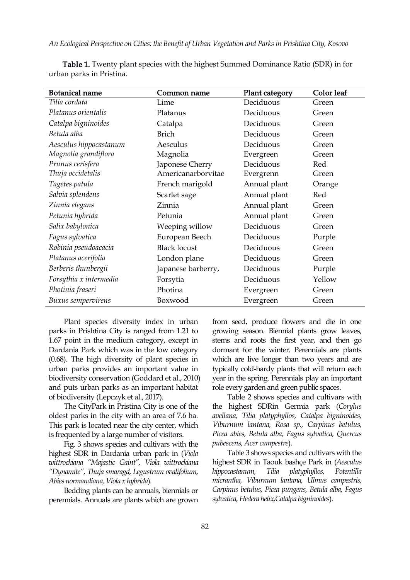*An Ecological Perspective on Cities: the Benefit of Urban Vegetation and Parksin Prishtina City,Kosovo*

| <b>Botanical name</b>  | Common name         | Plant category | Color leaf |
|------------------------|---------------------|----------------|------------|
| Tilia cordata          | Lime                | Deciduous      | Green      |
| Platanus orientalis    | Platanus            | Deciduous      | Green      |
| Catalpa bigninoides    | Catalpa             | Deciduous      | Green      |
| Betula alba            | <b>Brich</b>        | Deciduous      | Green      |
| Aesculus hippocastanum | Aesculus            | Deciduous      | Green      |
| Magnolia grandiflora   | Magnolia            | Evergreen      | Green      |
| Prunus cerisfera       | Japonese Cherry     | Deciduous      | Red        |
| Thuja occidetalis      | Americanarborvitae  | Evergrenn      | Green      |
| Tagetes patula         | French marigold     | Annual plant   | Orange     |
| Salvia splendens       | Scarlet sage        | Annual plant   | Red        |
| Zinnia elegans         | Zinnia              | Annual plant   | Green      |
| Petunia hybrida        | Petunia             | Annual plant   | Green      |
| Salix babylonica       | Weeping willow      | Deciduous      | Green      |
| Fagus sylvatica        | European Beech      | Deciduous      | Purple     |
| Robinia pseudoacacia   | <b>Black locust</b> | Deciduous      | Green      |
| Platanus acerifolia    | London plane        | Deciduous      | Green      |
| Berberis thunbergii    | Japanese barberry,  | Deciduous      | Purple     |
| Forsythia x intermedia | Forsytia            | Deciduous      | Yellow     |
| Photinia fraseri       | Photina             | Evergreen      | Green      |
| Buxus sempervirens     | Boxwood             | Evergreen      | Green      |

Table 1. Twenty plant species with the highest Summed Dominance Ratio (SDR) in for urban parks in Pristina.

Plant species diversity index in urban parks in Prishtina City is ranged from 1.21 to 1.67 point in the medium category, except in Dardania Park which was in the low category (0.68). The high diversity of plant species in urban parks provides an important value in biodiversity conservation (Goddard et al.,2010) and puts urban parks as an important habitat of biodiversity (Lepczyk et al., 2017).

The CityPark in Pristina City is one of the oldest parks in the city with an area of 7.6 ha. This park is located near the city center, which is frequented by a large number of visitors.

Fig. 3 shows species and cultivars with the highest SDR in Dardania urban park in (*Viola wittrockiana "Majastic Gaint", Viola wittrockiana "Dynamite", Thuja smaragd, Legustrum ovalifolium, Abies normandiana, Viola x hybrida*).

Bedding plants can be annuals, biennials or perennials. Annuals are plants which are grown from seed, produce flowers and die in one growing season. Biennial plants grow leaves, stems and roots the first year, and then go dormant for the winter. Perennials are plants which are live longer than two years and are typically cold-hardy plants that will return each year in the spring. Perennials play an important role every garden and green public spaces.

Table 2 shows species and cultivars with the highest SDRin Germia park (*Corylus avellana, Tilia platyphyllos, Catalpa bigninoides, Viburnum lantana, Rosa sp., Carpinus betulus, Picea abies, Betula alba, Fagus sylvatica, Quercus pubescens, Acer campestre*).

Table 3 shows species and cultivars with the highest SDR in Taouk bashçe Park in (*Aesculus hippocastanum, Tilia platyphyllos, Potentilla micrantha, Viburnum lantana, Ulmus campestris, Carpinus betulus, Picea pungens,Betula alba, Fagus sylvatica, Hedera helix,Catalpa bigninoides*).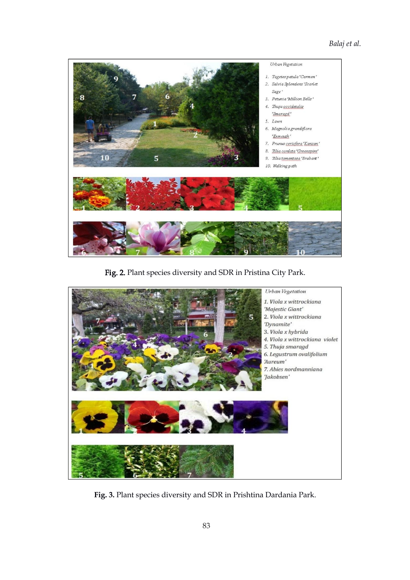

Fig. 2. Plant species diversity and SDR in Pristina City Park.



**Fig. 3.** Plant species diversity and SDR in Prishtina Dardania Park.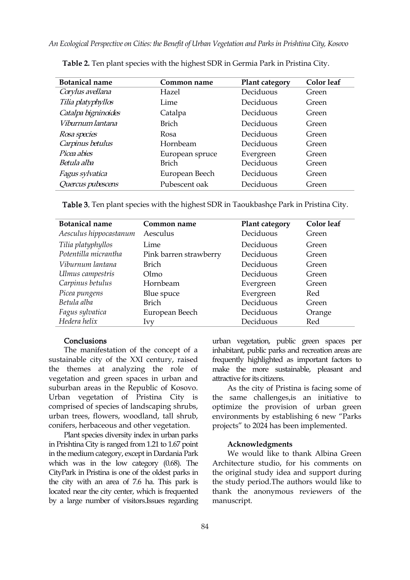| <b>Botanical name</b> | Common name     | Plant category | Color leaf |
|-----------------------|-----------------|----------------|------------|
| Corylus avellana      | Hazel           | Deciduous      | Green      |
| Tilia platyphyllos    | Lime            | Deciduous      | Green      |
| Catalpa bigninoides   | Catalpa         | Deciduous      | Green      |
| Viburnum lantana      | <b>Brich</b>    | Deciduous      | Green      |
| Rosa species          | Rosa            | Deciduous      | Green      |
| Carpinus betulus      | Hornbeam        | Deciduous      | Green      |
| Picea abies           | European spruce | Evergreen      | Green      |
| Betula alba           | <b>Brich</b>    | Deciduous      | Green      |
| Fagus sylvatica       | European Beech  | Deciduous      | Green      |
| Quercus pubescens     | Pubescent oak   | Deciduous      | Green      |

**Table 2.** Ten plant species with the highest SDR in Germia Park in Pristina City.

|  |  | <b>Table 3.</b> Ten plant species with the highest SDR in Taoukbashce Park in Pristina City. |  |
|--|--|----------------------------------------------------------------------------------------------|--|
|  |  |                                                                                              |  |

| <b>Botanical name</b>  | Common name            | Plant category | Color leaf |
|------------------------|------------------------|----------------|------------|
| Aesculus hippocastanum | Aesculus               | Deciduous      | Green      |
| Tilia platyphyllos     | Lime                   | Deciduous      | Green      |
| Potentilla micrantha   | Pink barren strawberry | Deciduous      | Green      |
| Viburnum lantana       | <b>Brich</b>           | Deciduous      | Green      |
| Ulmus campestris       | Olmo                   | Deciduous      | Green      |
| Carpinus betulus       | Hornbeam               | Evergreen      | Green      |
| Picea pungens          | Blue spuce             | Evergreen      | Red        |
| Betula alba            | <b>Brich</b>           | Deciduous      | Green      |
| Fagus sylvatica        | European Beech         | Deciduous      | Orange     |
| Hedera helix           | <i>lvy</i>             | Deciduous      | Red        |

#### **Conclusions**

The manifestation of the concept of a sustainable city of the XXI century, raised the themes at analyzing the role of vegetation and green spaces in urban and suburban areas in the Republic of Kosovo. Urban vegetation of Pristina City is comprised of species of landscaping shrubs, urban trees, flowers, woodland, tall shrub, conifers, herbaceous and other vegetation.

Plant species diversity index in urban parks in Prishtina City is ranged from 1.21 to 1.67 point in the medium category, except in Dardania Park which was in the low category  $(0.68)$ . The CityPark in Pristina is one of the oldest parks in the city with an area of 7.6 ha. This park is located near the city center, which is frequented by a large number of visitors.Issues regarding urban vegetation, public green spaces per inhabitant, public parks and recreation areas are frequently highlighted as important factors to make the more sustainable, pleasant and attractive for its citizens.

As the city of Pristina is facing some of the same challenges,is an initiative to optimize the provision of urban green environments by establishing 6 new "Parks projects" to 2024 has been implemented.

#### **Acknowledgments**

We would like to thank Albina Green Architecture studio, for his comments on the original study idea and support during the study period.The authors would like to thank the anonymous reviewers of the manuscript.